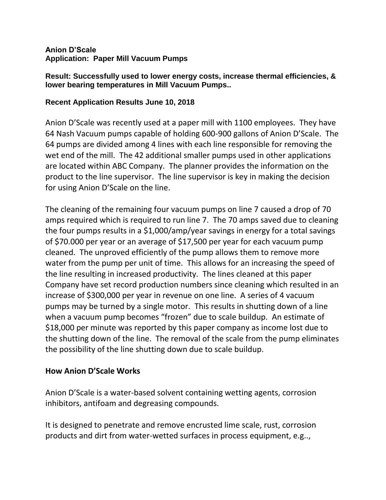#### **Anion D'Scale Application: Paper Mill Vacuum Pumps**

**Result: Successfully used to lower energy costs, increase thermal efficiencies, & lower bearing temperatures in Mill Vacuum Pumps..**

#### **Recent Application Results June 10, 2018**

Anion D'Scale was recently used at a paper mill with 1100 employees. They have 64 Nash Vacuum pumps capable of holding 600-900 gallons of Anion D'Scale. The 64 pumps are divided among 4 lines with each line responsible for removing the wet end of the mill. The 42 additional smaller pumps used in other applications are located within ABC Company. The planner provides the information on the product to the line supervisor. The line supervisor is key in making the decision for using Anion D'Scale on the line.

The cleaning of the remaining four vacuum pumps on line 7 caused a drop of 70 amps required which is required to run line 7. The 70 amps saved due to cleaning the four pumps results in a \$1,000/amp/year savings in energy for a total savings of \$70.000 per year or an average of \$17,500 per year for each vacuum pump cleaned. The unproved efficiently of the pump allows them to remove more water from the pump per unit of time. This allows for an increasing the speed of the line resulting in increased productivity. The lines cleaned at this paper Company have set record production numbers since cleaning which resulted in an increase of \$300,000 per year in revenue on one line. A series of 4 vacuum pumps may be turned by a single motor. This results in shutting down of a line when a vacuum pump becomes "frozen" due to scale buildup. An estimate of \$18,000 per minute was reported by this paper company as income lost due to the shutting down of the line. The removal of the scale from the pump eliminates the possibility of the line shutting down due to scale buildup.

#### **How Anion D'Scale Works**

Anion D'Scale is a water-based solvent containing wetting agents, corrosion inhibitors, antifoam and degreasing compounds.

It is designed to penetrate and remove encrusted lime scale, rust, corrosion products and dirt from water-wetted surfaces in process equipment, e.g..,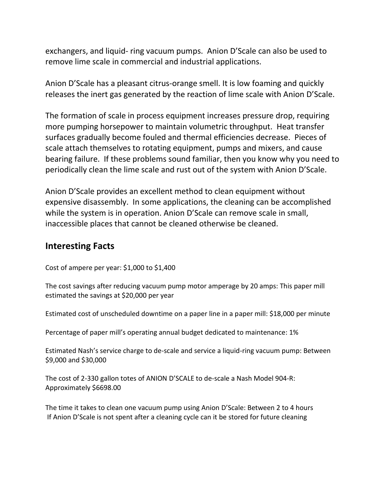exchangers, and liquid- ring vacuum pumps. Anion D'Scale can also be used to remove lime scale in commercial and industrial applications.

Anion D'Scale has a pleasant citrus-orange smell. It is low foaming and quickly releases the inert gas generated by the reaction of lime scale with Anion D'Scale.

The formation of scale in process equipment increases pressure drop, requiring more pumping horsepower to maintain volumetric throughput. Heat transfer surfaces gradually become fouled and thermal efficiencies decrease. Pieces of scale attach themselves to rotating equipment, pumps and mixers, and cause bearing failure. If these problems sound familiar, then you know why you need to periodically clean the lime scale and rust out of the system with Anion D'Scale.

Anion D'Scale provides an excellent method to clean equipment without expensive disassembly. In some applications, the cleaning can be accomplished while the system is in operation. Anion D'Scale can remove scale in small, inaccessible places that cannot be cleaned otherwise be cleaned.

### **Interesting Facts**

Cost of ampere per year: \$1,000 to \$1,400

The cost savings after reducing vacuum pump motor amperage by 20 amps: This paper mill estimated the savings at \$20,000 per year

Estimated cost of unscheduled downtime on a paper line in a paper mill: \$18,000 per minute

Percentage of paper mill's operating annual budget dedicated to maintenance: 1%

Estimated Nash's service charge to de-scale and service a liquid-ring vacuum pump: Between \$9,000 and \$30,000

The cost of 2-330 gallon totes of ANION D'SCALE to de-scale a Nash Model 904-R: Approximately \$6698.00

The time it takes to clean one vacuum pump using Anion D'Scale: Between 2 to 4 hours If Anion D'Scale is not spent after a cleaning cycle can it be stored for future cleaning